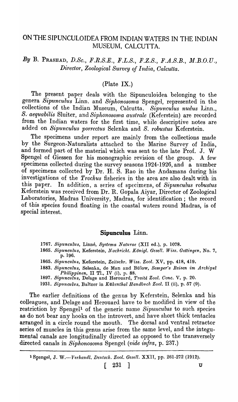## ONTHESIPUNCULOIDEAFROM INDIAN WATERS IN THE INDIAN MUSEUM, CALCUTTA.

# *By* B. PRASHAD, *D.Se., F.R.S.E., B.L.S., F.Z.S., F.A.S.B., M.B.O.U., Director, Zoological Survey of India, Calcutta.*

### (Plate IX.)

The present paper deals with the Sipunculoidea belonging to the genera Sipunculus Linn. and Siphonosoma Spengel, represented in the collections of the Indian Museum, Calcutta. Sipunculus nudus Linn., *S. aequabilis Sluiter, and Siphonosoma australe* (Keferstein) are recorded from the Indian waters for the first time, while descriptive notes are added on *Sipunculus p01'rectus* Selenka and *S. robustus* Keferstein.

The specimens under report are mainly from the collections made by the Surgeon-Naturalists attached to the Marine Survey of India, and formed part of the material which was sent to the late Prof. J. W Spengel of Giessen for his monographic revision of the group. A few specimens collected during the survey seasons 1924-1926, and a number of specimens collected by Dr. H. S. Rao in the Andamans during his investigations of the *Trochus* fisheries in the area are also dealt with in this paper. In addition, a series of specimens, of *Sipunculus robustus* In addition, a series of specimens, of *Sipunculus robustus* Keferstein was received from Dr. R. Gopala Aiyar, Director of Zoological Laboratories, Madras University, Madras, for identification; the record of this species found floating in the coastal waters round Madras, is of special interest.

#### **Sipunculus** Linn.

- 1767. Sipunculus, Linné, Systema Naturae (XII ed.), p. 1078.
- 1865. Sipunculus, Keferstein, Nachricht. Königl. Gesell. Wiss. Gottingen, No. 7, p.196.
- *1865. Sipunculus,* Keferstein, *Zeitschr. Wiss. Zool.* XV, pp. 418, 419.
- *1883. S't'punculus,* Selenka, de Man and Bulow, *Semper's Reisen int Arclu'pel Pllilippirten,* II TI., IV (i), p. 88.
- *1897. Sipuncul'Us,* Delage and Herouard, *Tra1'te Zool. Gonc.* V, p. 20.
- 1931. *Sipunculus*, Baltzer in *Kükenthal Handbuch Zool.* II (ii), p. 57 (9).

The earlier definitions of the genus by Keferstein, Selenka and his colleagues, and Delage and Herouard have to be modified in view of the restriction by Spengel1 of the generic name *Sipunculus* to such species as do not bear any hooks on the introvert, and have short thick tentacles arranged in a circle round the mouth. The dorsal and ventral retractor series of muscles in this genus arise from the same level, and the integumental canals are longitudinally directed as opposed to the transversely directed canals in *Siphonosoma* Spengel *(vide infra,* p. 237.)

 $\begin{bmatrix} 231 \end{bmatrix}$  u

<sup>&</sup>lt;sup>1</sup> Spengel, J. W.-*-Verhandl. Deutsch. Zool. Gesell.* XXII, pp. 261-272 (1912).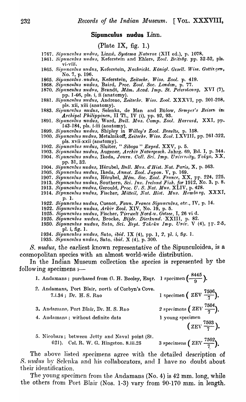#### Sipunculus nudus Linn.

### (Plate IX, fig. 1.)

- 1767. Sipunculus nudus, Linné, Systema Naturae (XII ed.), p. 1078.
- 1861. Sipunculus nudus, Keferstein and Ehlers, Zool. Beiträg. pp. 32-52, pls. vi-viii.
- 1865. Sipunculus nudus, Keferstein, Nachricht. Königl. Gesell. Wiss. Gottir.gen, No. 7, p. 196.
- 1865. Sipunculus nudus, Keferstein, Zeitschr. Wiss. Zool. p. 419.
- 1868. Sipunculus nudus, Baird, Proc. Zool. Soc. London, p. 77.
- 1870. Sipunculus nudvs, Brandt, Mém. Acad. Imp. St. Petersbourg, XVI (7), pp. 1-46, pls. i, ii (anatomy).
- 1881. Sipunculus nudus, Andreae, Zeitschr. Wiss. Zool. XXXVI, pp. 201-258, pls. xii, xiii (anatomy).
- 1883. Sipunculus nudus, Selenka, de Man and Bülow, Semper's Reisen im<br>Archipel Philippinen, II Tl., IV (i), pp. 92, 93.
- 1891. Sipunculus nudus, Ward, Bull. Mus. Comp. Zool. Harvard, XXI, pp.<br>143-184, pls. i-iii (anatomy).<br>1899. Sipunculus nudus, Shipley in Willey's Zool. Results, p. 158.<br>1900. Sipunculus nudus, Metalnikoff, Zeitschr. Wiss.
- 
- pls. xvii-xxii (anatomy).<br>
1902. Sipunculus nudus, Sluiter, "Siboga " Exped. XXV, p. 5.<br>
1903. Sipunculus nudus, Augener, Archiv Naturgesch. Jahrg. 69, Bd. I, p. 344.
- 
- 
- 1904. Sipunculus nudus, Ikeda, Journ. Coll. Sci. Imp. University, Tokyo, XX, pp. 31, 32.
- 1904. Sipunculus nudus, Hérubel, Bull. Mus. d'Hist. Nat. Paris, X, p. 563.
- 
- 
- 
- 
- 1905. Sipunculus nudus, Italies, Batt. Intes. a 1166. Irat. 1916, 23, p. 969.<br>1907. Sipunculus nudus, Hérubel, Mém. Soc. Zool. France, XX, pp. 224, 225.<br>1913. Sipunculus nudus, Southern, Sci. Inv. Ireland Fish. for 1912, N p. 1.
- 1922. Sipunculus nudus, Cuenot, Faun. France Sipunculus, etc., IV, p. 14. 1922. Sipunculus nudus, Arkiv Zool. XIV, No. 19, p. 5.
- 
- 1925. Sipunculus nudus, Fischer, Tierwelt Nord-u. Ostsee, I, 26 vi d.
- 1925. Sipunculus nudus, Brocke, Bijdr. Dierkund. XXIII, p. 82.
- 1930. Sipunculus nudus, Sato, Sci. Rept. Tokoku Imp. Univ. V (4), IP. 2.5, pl. i, fig. 1.

 $, 8445$ 

- 1934. Sipunculus nudus, Sato, ibid. IX (4), pp. 1, 2, pl. i, fig. 1.
- 1935. Sipunculus nudus, Sato, ibid. X (4), p. 300.

S. nudus, the earliest known representative of the Sipunculoidea, is a cosmopolitan species with an almost world-wide distribution.

In the Indian Museum collection the species is represented by the following specimens :-

| 1. Andamans; purchased from $\theta$ . H. Booley, Esqr. 1 specimen $\left(\frac{\theta}{\theta}\right)$ . |                                                      |
|-----------------------------------------------------------------------------------------------------------|------------------------------------------------------|
| 2. Andamans, Port Blair, north of Corbyn's Cove.<br>7.i.34; Dr. H. S. Rao                                 | 1 specimen ( $\text{ZEV } \frac{7506}{7}$ ).         |
| 3. Andamans, Port Blair, Dr. H. S. Rao                                                                    | 2 specimens $\left($ ZEV $\frac{7504}{7}$ .          |
| 4. Andamans; without definite data                                                                        | 1 young specimen<br>$(\text{ZEV } \frac{7503}{7})$ . |
| 5. Nicobars; between Jetty and Naval point (St.<br>621). Col. R. W. G. Hingston. 8.iii.25                 | 3 specimens $(ZEV \frac{7502}{7})$ .                 |

The above listed specimens agree with the detailed description of S. nudus by Selenka and his collaborators, and I have no doubt about their identification.

The young specimen from the Andamans (No. 4) is 42 mm. long, while the others from Port Blair (Nos. 1-3) vary from 90-170 mm. in length.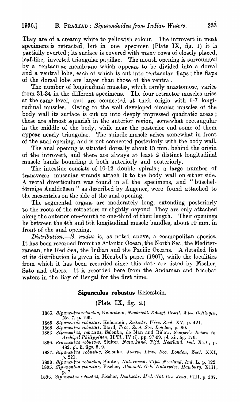They are of a creamy white to yellowish colour. The introvert in most specimens is retracted, but in one specimen (Plate IX, fig. 1) it is partially everted; its surface is covered with many rows of closely placed, leaf-like, inverted triangular papillae. The mouth opening is surrounded by a tentacular membrane which appears to be divided into a dorsal and a ventral lobe, each of which is cut into tentacular flaps; the flaps of the dorsal lobe are larger than those of the ventral.

The number of longitudinal muscles, which rarely anastomose, varies from 31-34 in the different specimens. The four retractor muscles arise at the same level, and are connected at their origin with 6-7 longitudinal muscles. Owing to the well developed circular muscles of the body wall its surface is cut up into deeply impressed quadratic areas; these are almost squarish in the anterior region, somewhat rectangular in the middle of the body, while near the posterior end some of them appear nearly triangular. The spindle-muscle arises somewhat in front of the anal opening, and is not connected posteriorly with the body wall.

The anal opening is situated dorsally about 15 mm. behind the origin of the introvert, and there are ahvays at least 2 distinct longitudinal muscle bands bounding it both anteriorly and posteriorly.

The intestine consists of 10-12 double spirals; a large number of transverse muscular strands attach it to the body wall on either side. A rectal diverticulum was found in all the specimens, and "biischelförmige Analdrüsen" as described by Augener, were found attached to the mesentries on the side of the anal opening.

The segmental organs are moderately long, extending posteriorly to the roots of the retractors or slightly beyond. They are only attached along the anterior one-fourth to one-third of their length. Their openings lie between the 4th and 5th longitudinal muscle bundles, about 10 mm. in front of the anal opening.

*Distribution.*--S. *nudus* is, as noted above, a cosmopolitan species. It has been recorded from the Atlantic Ocean, the North Sea, the Mediterranean, the Red Sea, the Indian and the Pacific Oceans. A detailed list of its distribution is given in Herubel's paper (1907), while the localities from which it has been recorded since this date are listed by Fischer, Sato and others. It is recorded here from the Andaman and Nicobar waters in the Bay of Bengal for the first time.

### **Sipunculus robustus** Keferstein.

### (Plate IX, fig. 2.)

- 1865. Sipunculus robustus, Keferstein, *Nachricht. Königl. Gesell. Wiss. Gottingen*, No. 7, p. 196.
- *1865. 8ipuncllius robustu8,* Keferstoin, *Zc-itscllr.* JV1'SS. *Zool.* XV, p. 421.
- *1868. Sipuncul'lIS rob1.lst1ts,* Baird, *Proc. Zool. Soc. London,* p. 80.
- 1883. *Sipunculus, robustus,* Selenka, de Man and Bülow, *Šemper's Reisen im Archipel Philippinen, II Tl., IV (i), pp. 97-99, pl. xii, fig. 170.*
- *1886. Sipunc'ltlus robustus,* Sluiter, *Naturkund. 'l'Ud. Neerland. Ind.* XIJV, p. 482, pI. ii, figs. 8, 9.
- 1887. Sipunculus robustus, Selenka, *Journ. Linn. Soc. London, Zool.* XXI, n. 221-
- 1890. Sipunculus robustus, Sluitor, *Naturkund. Tijd. Neerland, Ind.* L, p. 122
- **1895.** Sipunculus robustus, Fischer, Abhandl. Gch. Naturwiss. Hamburg, X111, p.7.
- **1896.** Sipunculus robustus, Fischer, *Denkschr. Med.·Nat. Ges. Jena*, VIII, p. 337.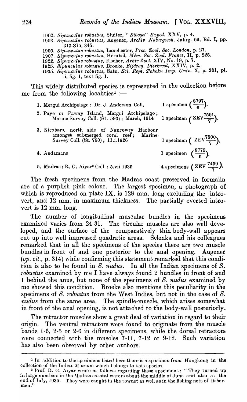*1902. Sipunculus robustus,* Sluiter, " *Siboga" Exped.* XXV, p. 4.

- *1903. Sipunculus rOb1.lstlts,* Augener, *Arch'iv Naturgesch.* Jahrg. 69, Bd. I, pp. 313-315, 345.
- 1905. Sipunculus robustus, Lanchester, *Proc. Zool. Soc. London*, p. 27.
- *1907. Sipunculus robustus,* Herubel, *Mem. Soc. Zool. Prance,* II, p. 225.
- *1922. Sipuncul'lls robust'Us,* Fischer, *Arkiv Zool.* XIV, No. 19, p. 7.
- *1925. Sipunculus Tobustus,* Broeke, *Bijdrag. Dierkund,* XXIV, p. 2.
- 1935. Sipunculus robustus, Sato, *Sci. Rept. Tohoku Imp. Univ.* X, p. 301, pl. ii, fig. 1, text-fig. 1.

This widely distributed species is represented in the collection before me from the following localities<sup>1</sup> :-

| 1. Mergui Archipelago; Dr. J. Anderson Coll.                                                                                | 1 specimen $\left(\frac{8797}{6}\right)$ . |
|-----------------------------------------------------------------------------------------------------------------------------|--------------------------------------------|
| 2. Paye or Paway Island, Mergui Archipelago;<br>Marine Survey Coll. (St. 593); March, 1914                                  | 1 specimen $(ZEV^{\overline{7501}})$ .     |
| 3. Nicobars, north side of Nancowry<br>Harbour<br>amongst submerged coral reef; Marine<br>Survey Coll. (St. 700); 11.i.1926 | 1 specimen ( $\text{ZEV}\frac{7500}{7}$ ). |
| 4. Andamans                                                                                                                 | 1 specimen $\left(\frac{8779}{6}\right)$ . |
| 5. Madras; R. G. Aiyar <sup>2</sup> Coll.; 5.vii.1935                                                                       | 4 specimens (ZEV $\frac{7499}{7}$ ).       |

The fresh specimens from the Madras coast preserved in formalin are of a purplish pink colour. The largest specimen, a photograph of which is reproduced on plate IX, is  $128$  mm. long excluding the introvert, and 12 mm. in maximum thickness. The partially everted introvert is 12 mm. long.

The number of longitudinal muscular bundles in the specimens examined varies from 24-31. The circular muscles are also well developed, and the surface of the comparatively thin body-wall appears cut up into well impressed quadratic areas. Selenka and his colleagues remarked that in all the specimens of the species there are two muscle bundles in front of and one posterior to the anal opening. Augener *(op. cit., p.* 314) while confirming this statement remarked that this condition is also to be found in *S. nudus.* In all the Indian specimens of *S. robustus* examined by me I have always found 2 bundles in front of and 1 behind the anus, but none of the specimens of S. *nudus* examined by me showed this condition. Broeke also mentions this peculiarity in the specimens of *S. robustus* from the West Indies, but not in the case of *S. nudus* from the same area. The spindle-muscle, which arises somewhat in front of the anal opening, is not attached to the body-wall posteriorly.

The retractor muscles show a great deal of variation in regard to their origin. The ventral retractors were found to originate from the muscle bands 1-6, 2-5 or 2-6 in different specimens, while the dorsal retractors were connected with the muscles 7-11, 7-12 or 9-12. Such variation has also been observed by other authors.

<sup>&</sup>lt;sup>1</sup> In addition to the specimens listed here thore is a specimen from Hongkong in the collection of the Indian Museum which belongs to this species.

<sup>&</sup>lt;sup>2</sup> Prof. R. G. Aiyar wrote as follows regarding these specimens: "They turned up in large numbers in the Madras coastal waters about the middle of June and also at the end of July, 1935. They were caught in the townot as well as in the fishing nets of  $~$ fishermen."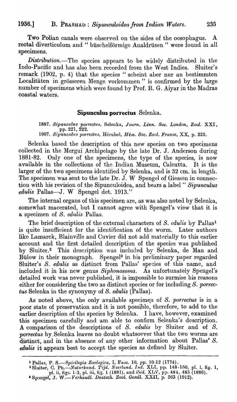Two Polian canals were observed on the sides of the oesophagus.  $\mathbf{A}$ rectal diverticulum and "büschelförmige Analdrüsen" were found in all specimens.

*Distribution*.—The species appears to be widely distributed in the Indo-Pacific and has also been recorded from the West Indies. Sluiter's remark (1902, p. 4) that the species "scheint aber nur an bestimmten Localitäten in grösseren Menge vorkommen" is confirmed by the large number of specimens which were found by Prof. R. G. Aiyar in the Madras coastal waters.

### Sipunculus porrectus Selenka.

1887. Sipunculus porrectus, Selenka, Journ. Linn. Soc. London, Zool. XXI,

1907. Sipunculus porrectus, Hérubel, Mém. Soc. Zool. France, XX, p. 225.

Selenka based the description of this new species on two specimens collected in the Mergui Archipelago by the late Dr. J. Anderson during Only one of the specimens, the type of the species, is now 1881-82. available in the collections of the Indian Museum, Calcutta. It is the larger of the two specimens identified by Selenka, and is 32 cm. in length. The specimen was sent to the late Dr. J. W Spengel of Giessen in connection with his revision of the Sipunculoidea, and bears a label "Sipunculus edulis Pallas—J. W Spengel det. 1913."

The internal organs of this specimen are, as was also noted by Selenka, somewhat macerated, but I cannot agree with Spengel's view that it is a specimen of S. edulis Pallas.

The brief description of the external characters of S. edulis by Pallas<sup>1</sup> is quite insufficient for the identification of the worm. Later authors like Lamarck, Blainville and Cuvier did not add materially to this earlier account and the first detailed description of the species was published by Sluiter.<sup>2</sup> This description was included by Selenka, de Man and Bülow in their monograph. Spengel<sup>3</sup> in his preliminary paper regarded Sluiter's S. edulis as distinct from Pallas' species of this name, and included it in his new genus Siphonosoma. As unfortunately Spengel's detailed work was never published, it is impossible to surmise his reasons either for considering the two as distinct species or for including S. porrectus Selenka in the synonymy of S. edulis (Pallas).

As noted above, the only available specimen of S. porrectus is in a poor state of preservation and it is not possible, therefore, to add to the earlier description of the species by Selenka. I have, however, examined this specimen carefully and am able to confirm Selenka's description. A comparison of the descriptions of S. edulis by Sluiter and of S. porrectus by Selenka leaves no doubt whatsoever that the two worms are distinct, and in the absence of any other information about Pallas' S. *edulis* it appears best to accept the species as defined by Sluiter.

<sup>&</sup>lt;sup>1</sup> Pallas, P. S.—Spicilegia Zoologica, I, Fasc. 10, pp. 10-12 (1774).<br>
<sup>2</sup> Sluiter, C. Ph.—Naturkund. Tijd. Neerland. Ind. XLI, pp. 148-150, pl. i, fig. 1,<br>
pl. ii, figs. 1-3, pl. iii, fig. 1 (1881), and ibid. XLV, pp. 48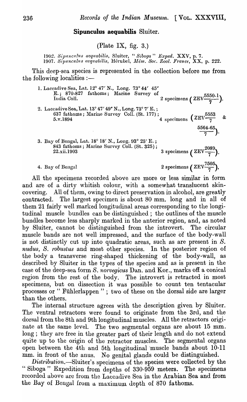### **Sipunculus aequabilis** Sluiter.

(Plate IX, fig.  $3$ .)

1902. Sipunculus aequabilis, Sluiter, "Siboga" Exped. **XXV**, p. 7. 1907. *Sipuncullis ((cquaoilis,* Hel'ubcl, *lJlbn. Soc. Zool. F'I'ance,* XX, p. 222.

This deep-sea species is represented in the collection before me from the following localities  $:$ 

| 1. Laccadive Sea, Lat. 12° 47' N., Long. 73° 44' 45"<br>E.; 870-827 fathoms; Marine Survey of<br>India Coll.       | 2 specimens $(ZEV^{\overline{5550.1}})$ .                          |
|--------------------------------------------------------------------------------------------------------------------|--------------------------------------------------------------------|
| 2. Laccadive Sea, Lat. 13° 47' 49" N., Long. 73° 7' E.;<br>637 fathoms; Marine Survey Coll. (St. 177);<br>5.v.1894 | $\frac{1}{4}$ specimens $\left(ZEV\frac{5553}{7} \quad \& \right)$ |
| 3. Bay of Bengal, Lat. 18° 18′ N., Long. 93° 25′ E.;                                                               | $\frac{5564-65}{7}$ ).                                             |
| 843 fathoms; Marine Survey Coll. (St. 325);<br>22.xii.1903                                                         | 3 specimens $(ZEV^{\frac{2089}{7}})$ .                             |
| 4. Bay of Bengal                                                                                                   | 2 specimens ( $\text{ZEV}\frac{7505}{7}$ ).                        |

All the specimens recorded above are more or less similar in form and are of a dirty whitish colour, with a somewhat translucent skincovering. All of them, owing to direct preservation in alcohol, are greatly contracted. The largest specimen is about 80 mm. long and in all of them 21 fairly well marked longitudinal areas corresponding to the longitudinal muscle bundles can be distinguished; the outlines of the muscle bundles become less sharply marked in the anterior region, and, as noted by Sluiter, cannot be distinguished from the introvert. The circular muscle bands are not well impressed, and the surface of the body-wall is not distinctly cut up into quadratic areas, such as are present in S. *nudus, S. robustus* and most other species. In the posterior region of the body a transverse ring-shaped thickening of the body-wall, as described by Sluiter in the types of the species and as is present in the case of the deep-sea form S. norvegicus Dan. and Kor., marks off a conical region from the rest of the body. The introvert is retracted in most specimens, but on dissection it was possible to count ten tentacular processes or " Fiihlerlappen " ; two of these on the dorsal side are larger than the others.

The internal structure agrees with the description given by Sluiter. The ventral retractors were found to originate from the 3rd, and the dorsal from the 8th and 9th longitudinal muscles. All the retractors originate at the same level. The two segmental organs are about 15 mm. long; they are free in the greater part of their length and do not extend quite up to the origin of the retractor muscles. The segmental organs open between the 4th and 5th longitudinal 'muscle bands about 10-11 mm. in front of the anus. No genital glands could be distinguished.

Distribution.—Sluiter's specimens of the species were collected by the " Siboga" Expedition from depths of 330-959 meters. The specimens recorded above arc from the Laccadive Sea in the Arabian Sea and from the Bay of Bengal from a maximum depth of 870 fathoms.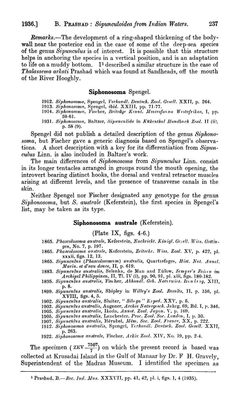**Remarks.—The development of a ring-shaped thickening of the body**wall near the posterior end in the case of some of the deep-sea species of the genus Sipunculus is of interest. It is possible that this structure helps in anchoring the species in a vertical position, and is an adaptation to life on a muddy bottom.  $I<sup>1</sup>$  described a similar structure in the case of Thalassema arkati Prashad which was found at Sandheads, off the mouth of the River Hooghly.

### Siphonosoma Spengel.

- 
- 1912. Siphonosoma, Spengel, Verhandl. Deutsch. Zool. Gesell. XXII, p. 264. 1913. Siphonosoma, Spengel, ibid. XXIII, pp. 71-77.
- 1914. Siphonosoma, Fischer, Beiträge Kennt. Meeresfarna Westafrikas, I, pp.  $59-61.$
- 1931. Siphonosoma, Baltzer, Sipunculida in Kükenthal Handbuch Zool. II (ii), p.  $58(9)$ .

Spengel did not publish a detailed description of the genus Siphonosoma, but Fischer gave a generic diagnosis based on Spengel's observa-A short description with a key for its differentiation from Sipuntions. culus Linn. is also included in Baltzer's work.

The main differences of Siphonosoma from Sipunculus Linn. consist in its longer tentacles arranged in groups round the mouth opening, the introvert bearing distinct hooks, the dorsal and ventral retractor muscles arising at different levels, and the presence of transverse canals in the skin.

Neither Spengel nor Fischer designated any genotype for the genus Siphonosoma, but S. australe (Keferstein), the first species in Spengel's list, may be taken as its type.

#### Siphonosoma australe (Keferstein).

#### (Plate IX, figs.  $4-6$ .)

- 1865. Phascolosoma australe, Keferstein, Nachricht. Königl. Gevell. Wiss. Gottingen, No. 7, p. 197.
- 1865. Phascolosoma australe, Keferstein, Zeitschr. Wiss. Zool. XV, p. 422, pl. xxxii, figs. 12, 13.
- 1865. Sipunculus (Phascolosomum) australis, Quartrefages, Hist. Nat. Annel. Marin. et d'eau douce, II, p. 619.
- 1883. Sipunculus australis, Selenka, de Man and Eülow, Semper's Reich im<br>Archipel Philippinen, II, Tl. IV (i), pp. 90, 91, pl. xiii, figs. 180-182.<br>1895. Sipunculus australis, Fischer, Abhandl. Geb. Naturuiss. Handerg, XII
- p. 8.
- 1899. Sipunculus australis, Shipley in Willey's Zool. Results, II, p. 156, pl. XVIII, figs. 4, 5.
- 
- XVIII, ngs. 4, 3.<br>
1902. Sipunculus australis, Sluiter, "Sibega" Esped. XXV, p. 5.<br>
1903. Sipunculus australis, Augener, Archiv Naturgesch. Jahrg. 69, Bd. I, p. 346.<br>
1905. Sipunculus australis, Ikeda, Annot. Zool. Japon.
- 
- 
- 
- 1912. Siphonosoma australis, Spengel, Verhandl. Deutsch. Zool. Gesell. XXII. p. 263.
- 1922. Siphonosoma australe, Fischer, Arkiv Zool. XIV, No. 19, pp. 2-4.

The specimen (ZEV  $\frac{7507}{7}$ ) on which the present record is based was collected at Krusadai Island in the Gulf of Manaar by Dr. F H. Gravely, Superintendent of the Madras Museum. I identified the specimen as

<sup>1</sup> Prashad, B.—Rec. Ind. Mus. XXXVII, pp. 41, 42, pl. i, figs. 1, 4 (1935),